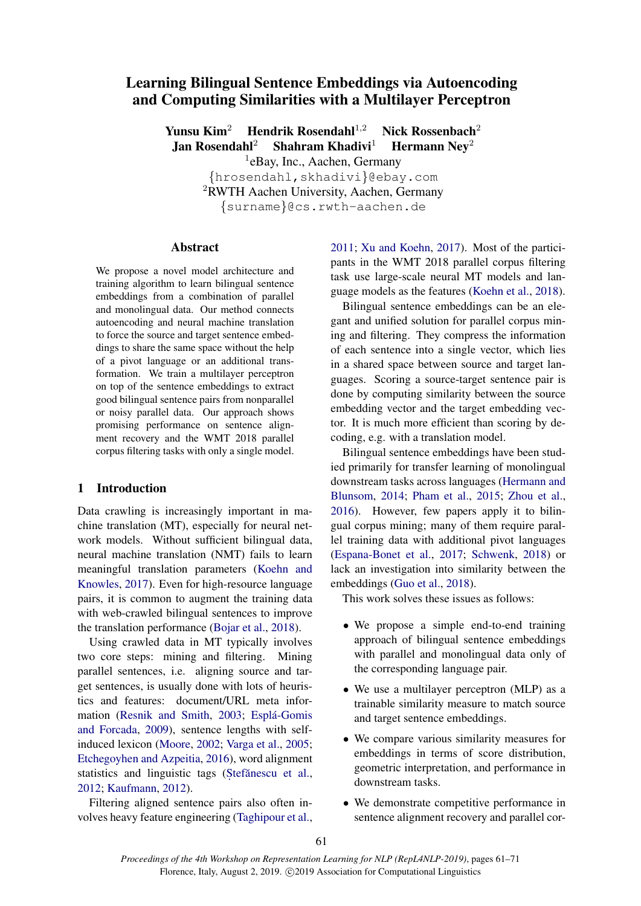# Learning Bilingual Sentence Embeddings via Autoencoding and Computing Similarities with a Multilayer Perceptron

Yunsu Kim<sup>2</sup> Hendrik Rosendahl<sup>1,2</sup> Nick Rossenbach<sup>2</sup> Jan Rosendahl<sup>2</sup> Shahram Khadivi<sup>1</sup> Hermann Nev<sup>2</sup> <sup>1</sup>eBay, Inc., Aachen, Germany {hrosendahl,skhadivi}@ebay.com <sup>2</sup>RWTH Aachen University, Aachen, Germany {surname}@cs.rwth-aachen.de

# Abstract

We propose a novel model architecture and training algorithm to learn bilingual sentence embeddings from a combination of parallel and monolingual data. Our method connects autoencoding and neural machine translation to force the source and target sentence embeddings to share the same space without the help of a pivot language or an additional transformation. We train a multilayer perceptron on top of the sentence embeddings to extract good bilingual sentence pairs from nonparallel or noisy parallel data. Our approach shows promising performance on sentence alignment recovery and the WMT 2018 parallel corpus filtering tasks with only a single model.

### 1 Introduction

Data crawling is increasingly important in machine translation (MT), especially for neural network models. Without sufficient bilingual data, neural machine translation (NMT) fails to learn meaningful translation parameters [\(Koehn and](#page-10-0) [Knowles,](#page-10-0) [2017\)](#page-10-0). Even for high-resource language pairs, it is common to augment the training data with web-crawled bilingual sentences to improve the translation performance [\(Bojar et al.,](#page-9-0) [2018\)](#page-9-0).

Using crawled data in MT typically involves two core steps: mining and filtering. Mining parallel sentences, i.e. aligning source and target sentences, is usually done with lots of heuristics and features: document/URL meta infor-mation [\(Resnik and Smith,](#page-10-1) [2003;](#page-10-1) Esplá-Gomis [and Forcada,](#page-9-1) [2009\)](#page-9-1), sentence lengths with selfinduced lexicon [\(Moore,](#page-10-2) [2002;](#page-10-2) [Varga et al.,](#page-10-3) [2005;](#page-10-3) [Etchegoyhen and Azpeitia,](#page-9-2) [2016\)](#page-9-2), word alignment statistics and linguistic tags (Stefănescu et al., [2012;](#page-9-3) [Kaufmann,](#page-9-4) [2012\)](#page-9-4).

Filtering aligned sentence pairs also often involves heavy feature engineering [\(Taghipour et al.,](#page-10-4) [2011;](#page-10-4) [Xu and Koehn,](#page-10-5) [2017\)](#page-10-5). Most of the participants in the WMT 2018 parallel corpus filtering task use large-scale neural MT models and language models as the features [\(Koehn et al.,](#page-9-5) [2018\)](#page-9-5).

Bilingual sentence embeddings can be an elegant and unified solution for parallel corpus mining and filtering. They compress the information of each sentence into a single vector, which lies in a shared space between source and target languages. Scoring a source-target sentence pair is done by computing similarity between the source embedding vector and the target embedding vector. It is much more efficient than scoring by decoding, e.g. with a translation model.

Bilingual sentence embeddings have been studied primarily for transfer learning of monolingual downstream tasks across languages [\(Hermann and](#page-9-6) [Blunsom,](#page-9-6) [2014;](#page-9-6) [Pham et al.,](#page-10-6) [2015;](#page-10-6) [Zhou et al.,](#page-10-7) [2016\)](#page-10-7). However, few papers apply it to bilingual corpus mining; many of them require parallel training data with additional pivot languages [\(Espana-Bonet et al.,](#page-9-7) [2017;](#page-9-7) [Schwenk,](#page-10-8) [2018\)](#page-10-8) or lack an investigation into similarity between the embeddings [\(Guo et al.,](#page-9-8) [2018\)](#page-9-8).

This work solves these issues as follows:

- We propose a simple end-to-end training approach of bilingual sentence embeddings with parallel and monolingual data only of the corresponding language pair.
- We use a multilayer perceptron (MLP) as a trainable similarity measure to match source and target sentence embeddings.
- We compare various similarity measures for embeddings in terms of score distribution, geometric interpretation, and performance in downstream tasks.
- We demonstrate competitive performance in sentence alignment recovery and parallel cor-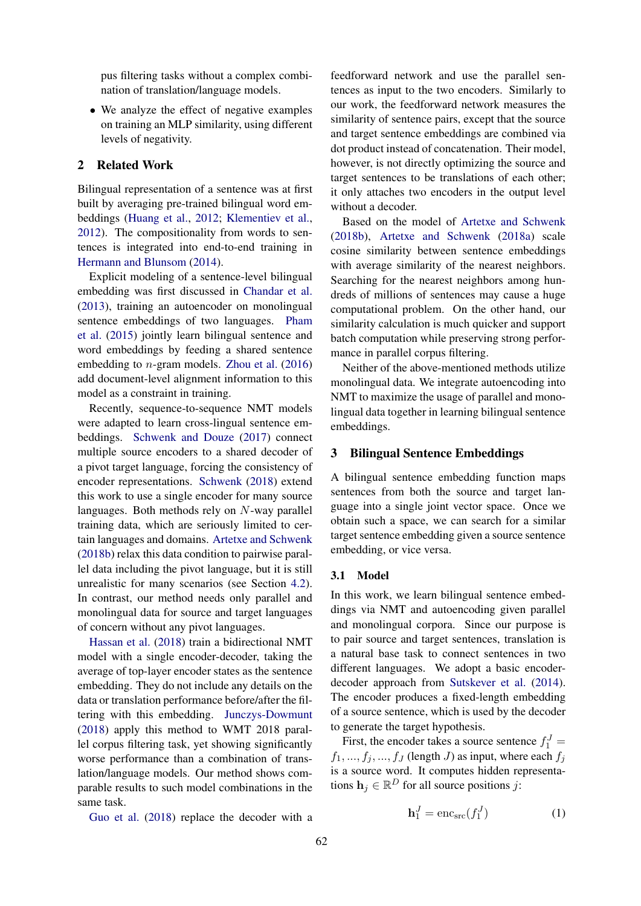pus filtering tasks without a complex combination of translation/language models.

• We analyze the effect of negative examples on training an MLP similarity, using different levels of negativity.

# 2 Related Work

Bilingual representation of a sentence was at first built by averaging pre-trained bilingual word embeddings [\(Huang et al.,](#page-9-9) [2012;](#page-9-9) [Klementiev et al.,](#page-9-10) [2012\)](#page-9-10). The compositionality from words to sentences is integrated into end-to-end training in [Hermann and Blunsom](#page-9-6) [\(2014\)](#page-9-6).

Explicit modeling of a sentence-level bilingual embedding was first discussed in [Chandar et al.](#page-9-11) [\(2013\)](#page-9-11), training an autoencoder on monolingual sentence embeddings of two languages. [Pham](#page-10-6) [et al.](#page-10-6) [\(2015\)](#page-10-6) jointly learn bilingual sentence and word embeddings by feeding a shared sentence embedding to n-gram models. [Zhou et al.](#page-10-7) [\(2016\)](#page-10-7) add document-level alignment information to this model as a constraint in training.

Recently, sequence-to-sequence NMT models were adapted to learn cross-lingual sentence embeddings. [Schwenk and Douze](#page-10-9) [\(2017\)](#page-10-9) connect multiple source encoders to a shared decoder of a pivot target language, forcing the consistency of encoder representations. [Schwenk](#page-10-8) [\(2018\)](#page-10-8) extend this work to use a single encoder for many source languages. Both methods rely on N-way parallel training data, which are seriously limited to certain languages and domains. [Artetxe and Schwenk](#page-9-12) [\(2018b\)](#page-9-12) relax this data condition to pairwise parallel data including the pivot language, but it is still unrealistic for many scenarios (see Section [4.2\)](#page-5-0). In contrast, our method needs only parallel and monolingual data for source and target languages of concern without any pivot languages.

[Hassan et al.](#page-9-13) [\(2018\)](#page-9-13) train a bidirectional NMT model with a single encoder-decoder, taking the average of top-layer encoder states as the sentence embedding. They do not include any details on the data or translation performance before/after the filtering with this embedding. [Junczys-Dowmunt](#page-9-14) [\(2018\)](#page-9-14) apply this method to WMT 2018 parallel corpus filtering task, yet showing significantly worse performance than a combination of translation/language models. Our method shows comparable results to such model combinations in the same task.

feedforward network and use the parallel sentences as input to the two encoders. Similarly to our work, the feedforward network measures the similarity of sentence pairs, except that the source and target sentence embeddings are combined via dot product instead of concatenation. Their model, however, is not directly optimizing the source and target sentences to be translations of each other; it only attaches two encoders in the output level without a decoder.

Based on the model of [Artetxe and Schwenk](#page-9-12) [\(2018b\)](#page-9-12), [Artetxe and Schwenk](#page-9-15) [\(2018a\)](#page-9-15) scale cosine similarity between sentence embeddings with average similarity of the nearest neighbors. Searching for the nearest neighbors among hundreds of millions of sentences may cause a huge computational problem. On the other hand, our similarity calculation is much quicker and support batch computation while preserving strong performance in parallel corpus filtering.

Neither of the above-mentioned methods utilize monolingual data. We integrate autoencoding into NMT to maximize the usage of parallel and monolingual data together in learning bilingual sentence embeddings.

### 3 Bilingual Sentence Embeddings

A bilingual sentence embedding function maps sentences from both the source and target language into a single joint vector space. Once we obtain such a space, we can search for a similar target sentence embedding given a source sentence embedding, or vice versa.

# 3.1 Model

In this work, we learn bilingual sentence embeddings via NMT and autoencoding given parallel and monolingual corpora. Since our purpose is to pair source and target sentences, translation is a natural base task to connect sentences in two different languages. We adopt a basic encoderdecoder approach from [Sutskever et al.](#page-10-10) [\(2014\)](#page-10-10). The encoder produces a fixed-length embedding of a source sentence, which is used by the decoder to generate the target hypothesis.

First, the encoder takes a source sentence  $f_1^J$  =  $f_1, ..., f_j, ..., f_J$  (length J) as input, where each  $f_j$ is a source word. It computes hidden representations  $\mathbf{h}_j \in \mathbb{R}^D$  for all source positions j:

[Guo et al.](#page-9-8) [\(2018\)](#page-9-8) replace the decoder with a

$$
\mathbf{h}_1^J = \text{enc}_{\text{src}}(f_1^J) \tag{1}
$$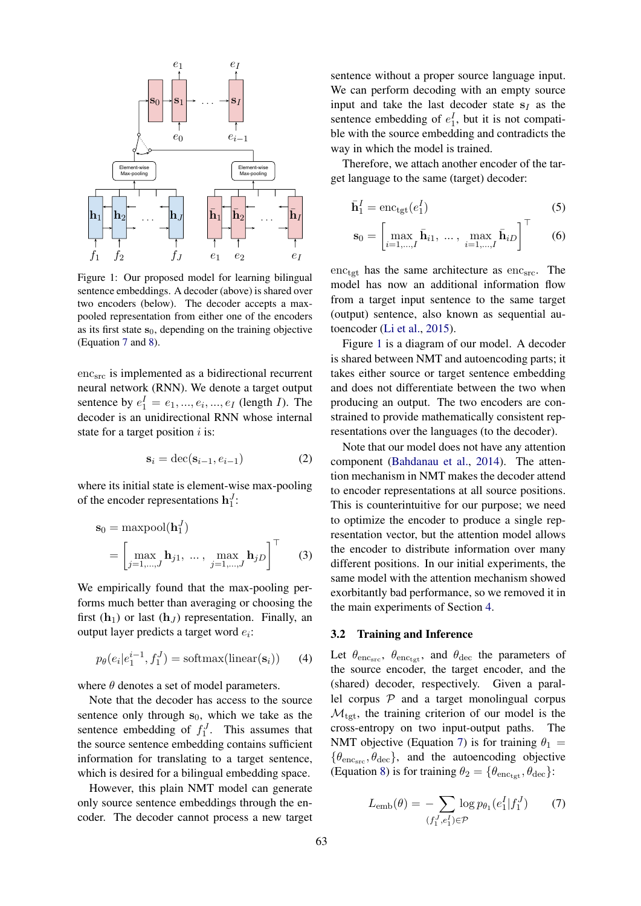<span id="page-2-1"></span>

Figure 1: Our proposed model for learning bilingual sentence embeddings. A decoder (above) is shared over two encoders (below). The decoder accepts a maxpooled representation from either one of the encoders as its first state  $s_0$ , depending on the training objective (Equation [7](#page-2-0) and [8\)](#page-3-0).

 $enc<sub>src</sub>$  is implemented as a bidirectional recurrent neural network (RNN). We denote a target output sentence by  $e_1^I = e_1, ..., e_i, ..., e_I$  (length *I*). The decoder is an unidirectional RNN whose internal state for a target position  $i$  is:

$$
\mathbf{s}_i = \text{dec}(\mathbf{s}_{i-1}, e_{i-1}) \tag{2}
$$

where its initial state is element-wise max-pooling of the encoder representations  $\mathbf{h}_1^J$ :

$$
\mathbf{s}_0 = \text{maxpool}(\mathbf{h}_1^J)
$$
  
= 
$$
\begin{bmatrix} \max_{j=1,\dots,J} \mathbf{h}_{j1}, \dots, \max_{j=1,\dots,J} \mathbf{h}_{jD} \end{bmatrix}^\top
$$
 (3)

We empirically found that the max-pooling performs much better than averaging or choosing the first  $(h_1)$  or last  $(h_J)$  representation. Finally, an output layer predicts a target word  $e_i$ :

$$
p_{\theta}(e_i|e_1^{i-1}, f_1^J) = \text{softmax}(\text{linear}(\mathbf{s}_i)) \qquad (4)
$$

where  $\theta$  denotes a set of model parameters.

Note that the decoder has access to the source sentence only through  $s_0$ , which we take as the sentence embedding of  $f_1^J$ . This assumes that the source sentence embedding contains sufficient information for translating to a target sentence, which is desired for a bilingual embedding space.

However, this plain NMT model can generate only source sentence embeddings through the encoder. The decoder cannot process a new target

sentence without a proper source language input. We can perform decoding with an empty source input and take the last decoder state  $s_I$  as the sentence embedding of  $e_1^I$ , but it is not compatible with the source embedding and contradicts the way in which the model is trained.

Therefore, we attach another encoder of the target language to the same (target) decoder:

$$
\bar{\mathbf{h}}_1^I = \text{enc}_{\text{tgt}}(e_1^I) \tag{5}
$$

$$
\mathbf{s}_0 = \begin{bmatrix} \max_{i=1,\dots,I} \bar{\mathbf{h}}_{i1}, \ \dots, \ \max_{i=1,\dots,I} \bar{\mathbf{h}}_{iD} \end{bmatrix}^\top \qquad (6)
$$

 $\text{enc}_{\text{tgt}}$  has the same architecture as  $\text{enc}_{\text{src}}$ . The model has now an additional information flow from a target input sentence to the same target (output) sentence, also known as sequential autoencoder [\(Li et al.,](#page-10-11) [2015\)](#page-10-11).

Figure [1](#page-2-1) is a diagram of our model. A decoder is shared between NMT and autoencoding parts; it takes either source or target sentence embedding and does not differentiate between the two when producing an output. The two encoders are constrained to provide mathematically consistent representations over the languages (to the decoder).

Note that our model does not have any attention component [\(Bahdanau et al.,](#page-9-16) [2014\)](#page-9-16). The attention mechanism in NMT makes the decoder attend to encoder representations at all source positions. This is counterintuitive for our purpose; we need to optimize the encoder to produce a single representation vector, but the attention model allows the encoder to distribute information over many different positions. In our initial experiments, the same model with the attention mechanism showed exorbitantly bad performance, so we removed it in the main experiments of Section [4.](#page-4-0)

#### 3.2 Training and Inference

Let  $\theta_{\text{enc}}$ ,  $\theta_{\text{enc}_{\text{tot}}}$ , and  $\theta_{\text{dec}}$  the parameters of the source encoder, the target encoder, and the (shared) decoder, respectively. Given a parallel corpus  $P$  and a target monolingual corpus  $\mathcal{M}_{\text{tet}}$ , the training criterion of our model is the cross-entropy on two input-output paths. The NMT objective (Equation [7\)](#page-2-0) is for training  $\theta_1$  =  $\{\theta_{\text{enc}_{src}}, \theta_{\text{dec}}\}$ , and the autoencoding objective (Equation [8\)](#page-3-0) is for training  $\theta_2 = {\theta_{\text{enctot}}}$ ,  $\theta_{\text{dec}}$ ):

<span id="page-2-0"></span>
$$
L_{\rm emb}(\theta) = -\sum_{(f_1^J, e_1^I) \in \mathcal{P}} \log p_{\theta_1}(e_1^I | f_1^J) \tag{7}
$$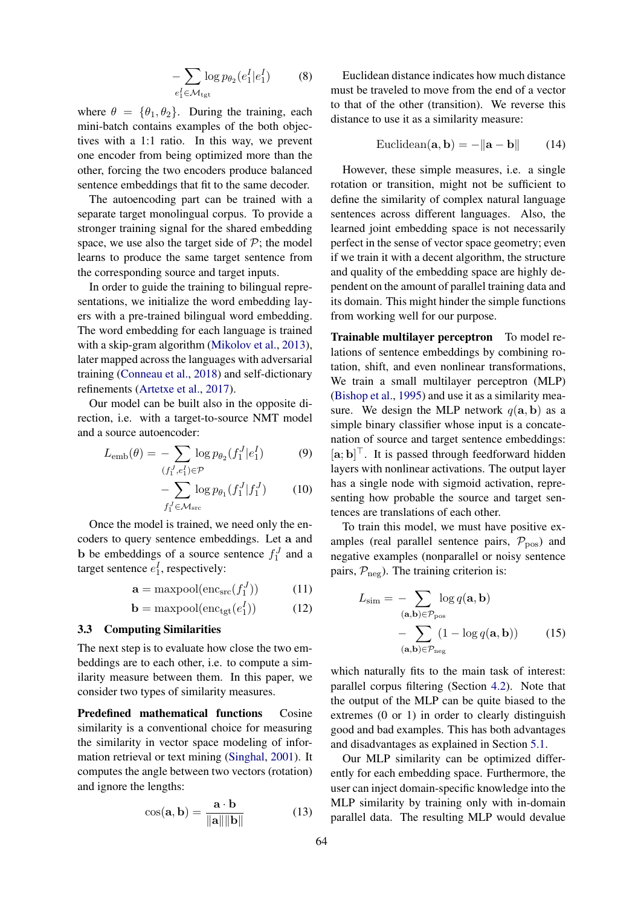$$
-\sum_{e_1^I \in \mathcal{M}_{\text{tgt}}} \log p_{\theta_2}(e_1^I | e_1^I) \tag{8}
$$

where  $\theta = {\theta_1, \theta_2}$ . During the training, each mini-batch contains examples of the both objectives with a 1:1 ratio. In this way, we prevent one encoder from being optimized more than the other, forcing the two encoders produce balanced sentence embeddings that fit to the same decoder.

The autoencoding part can be trained with a separate target monolingual corpus. To provide a stronger training signal for the shared embedding space, we use also the target side of  $P$ ; the model learns to produce the same target sentence from the corresponding source and target inputs.

In order to guide the training to bilingual representations, we initialize the word embedding layers with a pre-trained bilingual word embedding. The word embedding for each language is trained with a skip-gram algorithm [\(Mikolov et al.,](#page-10-12) [2013\)](#page-10-12), later mapped across the languages with adversarial training [\(Conneau et al.,](#page-9-17) [2018\)](#page-9-17) and self-dictionary refinements [\(Artetxe et al.,](#page-9-18) [2017\)](#page-9-18).

Our model can be built also in the opposite direction, i.e. with a target-to-source NMT model and a source autoencoder:

$$
L_{\rm emb}(\theta) = -\sum_{(f_1^J, e_1^I) \in \mathcal{P}} \log p_{\theta_2}(f_1^J | e_1^I)
$$
(9)

$$
-\sum_{f_1^J \in \mathcal{M}_{\text{src}}} \log p_{\theta_1}(f_1^J | f_1^J) \tag{10}
$$

Once the model is trained, we need only the encoders to query sentence embeddings. Let a and **b** be embeddings of a source sentence  $f_1^J$  and a target sentence  $e_1^I$ , respectively:

$$
\mathbf{a} = \text{maxpool}(\text{enc}_{\text{src}}(f_1^J)) \tag{11}
$$

$$
\mathbf{b} = \text{maxpool}(\text{enc}_{\text{tgt}}(e_1^I)) \tag{12}
$$

#### 3.3 Computing Similarities

The next step is to evaluate how close the two embeddings are to each other, i.e. to compute a similarity measure between them. In this paper, we consider two types of similarity measures.

Predefined mathematical functions Cosine similarity is a conventional choice for measuring the similarity in vector space modeling of information retrieval or text mining [\(Singhal,](#page-10-13) [2001\)](#page-10-13). It computes the angle between two vectors (rotation) and ignore the lengths:

$$
\cos(\mathbf{a}, \mathbf{b}) = \frac{\mathbf{a} \cdot \mathbf{b}}{\|\mathbf{a}\| \|\mathbf{b}\|}
$$
(13)

<span id="page-3-0"></span>Euclidean distance indicates how much distance must be traveled to move from the end of a vector to that of the other (transition). We reverse this distance to use it as a similarity measure:

$$
Euclidean(\mathbf{a}, \mathbf{b}) = -\|\mathbf{a} - \mathbf{b}\|
$$
 (14)

However, these simple measures, i.e. a single rotation or transition, might not be sufficient to define the similarity of complex natural language sentences across different languages. Also, the learned joint embedding space is not necessarily perfect in the sense of vector space geometry; even if we train it with a decent algorithm, the structure and quality of the embedding space are highly dependent on the amount of parallel training data and its domain. This might hinder the simple functions from working well for our purpose.

Trainable multilayer perceptron To model relations of sentence embeddings by combining rotation, shift, and even nonlinear transformations, We train a small multilayer perceptron (MLP) [\(Bishop et al.,](#page-9-19) [1995\)](#page-9-19) and use it as a similarity measure. We design the MLP network  $q(\mathbf{a}, \mathbf{b})$  as a simple binary classifier whose input is a concatenation of source and target sentence embeddings:  $[a; b]^\top$ . It is passed through feedforward hidden layers with nonlinear activations. The output layer has a single node with sigmoid activation, representing how probable the source and target sentences are translations of each other.

To train this model, we must have positive examples (real parallel sentence pairs,  $P_{\text{pos}}$ ) and negative examples (nonparallel or noisy sentence pairs,  $P_{\text{neg}}$ ). The training criterion is:

<span id="page-3-1"></span>
$$
L_{\text{sim}} = -\sum_{(\mathbf{a},\mathbf{b}) \in \mathcal{P}_{\text{pos}}} \log q(\mathbf{a}, \mathbf{b})
$$

$$
-\sum_{(\mathbf{a},\mathbf{b}) \in \mathcal{P}_{\text{neg}}} (1 - \log q(\mathbf{a}, \mathbf{b})) \tag{15}
$$

which naturally fits to the main task of interest: parallel corpus filtering (Section [4.2\)](#page-5-0). Note that the output of the MLP can be quite biased to the extremes (0 or 1) in order to clearly distinguish good and bad examples. This has both advantages and disadvantages as explained in Section [5.1.](#page-5-1)

Our MLP similarity can be optimized differently for each embedding space. Furthermore, the user can inject domain-specific knowledge into the MLP similarity by training only with in-domain parallel data. The resulting MLP would devalue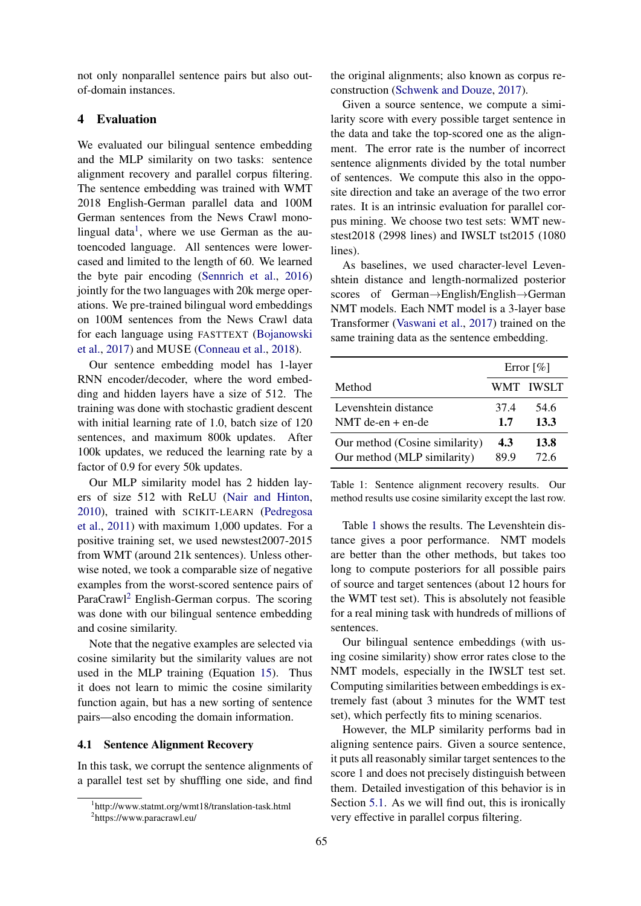not only nonparallel sentence pairs but also outof-domain instances.

# <span id="page-4-0"></span>4 Evaluation

We evaluated our bilingual sentence embedding and the MLP similarity on two tasks: sentence alignment recovery and parallel corpus filtering. The sentence embedding was trained with WMT 2018 English-German parallel data and 100M German sentences from the News Crawl mono-lingual data<sup>[1](#page-4-1)</sup>, where we use German as the autoencoded language. All sentences were lowercased and limited to the length of 60. We learned the byte pair encoding [\(Sennrich et al.,](#page-10-14) [2016\)](#page-10-14) jointly for the two languages with 20k merge operations. We pre-trained bilingual word embeddings on 100M sentences from the News Crawl data for each language using FASTTEXT [\(Bojanowski](#page-9-20) [et al.,](#page-9-20) [2017\)](#page-9-20) and MUSE [\(Conneau et al.,](#page-9-17) [2018\)](#page-9-17).

Our sentence embedding model has 1-layer RNN encoder/decoder, where the word embedding and hidden layers have a size of 512. The training was done with stochastic gradient descent with initial learning rate of 1.0, batch size of 120 sentences, and maximum 800k updates. After 100k updates, we reduced the learning rate by a factor of 0.9 for every 50k updates.

Our MLP similarity model has 2 hidden layers of size 512 with ReLU [\(Nair and Hinton,](#page-10-15) [2010\)](#page-10-15), trained with SCIKIT-LEARN [\(Pedregosa](#page-10-16) [et al.,](#page-10-16) [2011\)](#page-10-16) with maximum 1,000 updates. For a positive training set, we used newstest2007-2015 from WMT (around 21k sentences). Unless otherwise noted, we took a comparable size of negative examples from the worst-scored sentence pairs of ParaCrawl[2](#page-4-2) English-German corpus. The scoring was done with our bilingual sentence embedding and cosine similarity.

Note that the negative examples are selected via cosine similarity but the similarity values are not used in the MLP training (Equation [15\)](#page-3-1). Thus it does not learn to mimic the cosine similarity function again, but has a new sorting of sentence pairs—also encoding the domain information.

#### 4.1 Sentence Alignment Recovery

In this task, we corrupt the sentence alignments of a parallel test set by shuffling one side, and find

the original alignments; also known as corpus reconstruction [\(Schwenk and Douze,](#page-10-9) [2017\)](#page-10-9).

Given a source sentence, we compute a similarity score with every possible target sentence in the data and take the top-scored one as the alignment. The error rate is the number of incorrect sentence alignments divided by the total number of sentences. We compute this also in the opposite direction and take an average of the two error rates. It is an intrinsic evaluation for parallel corpus mining. We choose two test sets: WMT newstest2018 (2998 lines) and IWSLT tst2015 (1080 lines).

As baselines, we used character-level Levenshtein distance and length-normalized posterior scores of German→English/English→German NMT models. Each NMT model is a 3-layer base Transformer [\(Vaswani et al.,](#page-10-17) [2017\)](#page-10-17) trained on the same training data as the sentence embedding.

<span id="page-4-3"></span>

|                                | Error $\lceil\% \rceil$ |           |
|--------------------------------|-------------------------|-----------|
| Method                         |                         | WMT IWSLT |
| Levenshtein distance           | 37.4                    | 54.6      |
| NMT de-en $+$ en-de            | 1.7                     | 13.3      |
| Our method (Cosine similarity) | 4.3                     | 13.8      |
| Our method (MLP similarity)    | 89 9                    | 72.6      |

Table 1: Sentence alignment recovery results. Our method results use cosine similarity except the last row.

Table [1](#page-4-3) shows the results. The Levenshtein distance gives a poor performance. NMT models are better than the other methods, but takes too long to compute posteriors for all possible pairs of source and target sentences (about 12 hours for the WMT test set). This is absolutely not feasible for a real mining task with hundreds of millions of sentences.

Our bilingual sentence embeddings (with using cosine similarity) show error rates close to the NMT models, especially in the IWSLT test set. Computing similarities between embeddings is extremely fast (about 3 minutes for the WMT test set), which perfectly fits to mining scenarios.

However, the MLP similarity performs bad in aligning sentence pairs. Given a source sentence, it puts all reasonably similar target sentences to the score 1 and does not precisely distinguish between them. Detailed investigation of this behavior is in Section [5.1.](#page-5-1) As we will find out, this is ironically very effective in parallel corpus filtering.

<span id="page-4-2"></span><span id="page-4-1"></span><sup>1</sup> http://www.statmt.org/wmt18/translation-task.html 2 https://www.paracrawl.eu/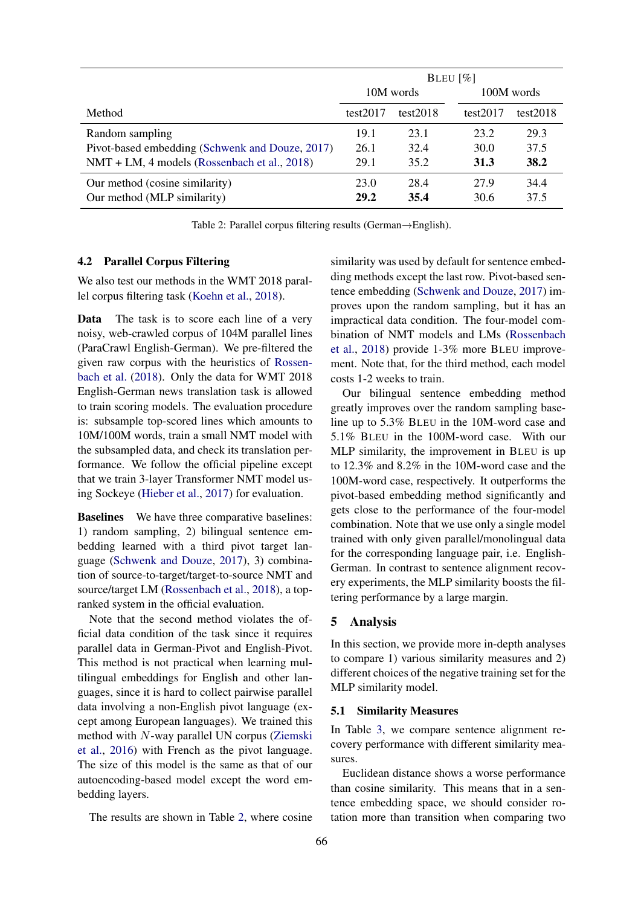<span id="page-5-2"></span>

|                                                 | BLEU $\lceil \% \rceil$ |             |             |             |
|-------------------------------------------------|-------------------------|-------------|-------------|-------------|
|                                                 | 10M words               |             | 100M words  |             |
| Method                                          | test $2017$             | test $2018$ | test $2017$ | test $2018$ |
| Random sampling                                 | 19.1                    | 23.1        | 23.2        | 29.3        |
| Pivot-based embedding (Schwenk and Douze, 2017) | 26.1                    | 32.4        | 30.0        | 37.5        |
| NMT + LM, 4 models (Rossenbach et al., 2018)    | 29.1                    | 35.2        | 31.3        | <b>38.2</b> |
| Our method (cosine similarity)                  | 23.0                    | 28.4        | 27.9        | 34.4        |
| Our method (MLP similarity)                     | 29.2                    | 35.4        | 30.6        | 37.5        |

Table 2: Parallel corpus filtering results (German→English).

#### <span id="page-5-0"></span>4.2 Parallel Corpus Filtering

We also test our methods in the WMT 2018 parallel corpus filtering task [\(Koehn et al.,](#page-9-5) [2018\)](#page-9-5).

Data The task is to score each line of a very noisy, web-crawled corpus of 104M parallel lines (ParaCrawl English-German). We pre-filtered the given raw corpus with the heuristics of [Rossen](#page-10-18)[bach et al.](#page-10-18) [\(2018\)](#page-10-18). Only the data for WMT 2018 English-German news translation task is allowed to train scoring models. The evaluation procedure is: subsample top-scored lines which amounts to 10M/100M words, train a small NMT model with the subsampled data, and check its translation performance. We follow the official pipeline except that we train 3-layer Transformer NMT model using Sockeye [\(Hieber et al.,](#page-9-21) [2017\)](#page-9-21) for evaluation.

Baselines We have three comparative baselines: 1) random sampling, 2) bilingual sentence embedding learned with a third pivot target language [\(Schwenk and Douze,](#page-10-9) [2017\)](#page-10-9), 3) combination of source-to-target/target-to-source NMT and source/target LM [\(Rossenbach et al.,](#page-10-18) [2018\)](#page-10-18), a topranked system in the official evaluation.

Note that the second method violates the official data condition of the task since it requires parallel data in German-Pivot and English-Pivot. This method is not practical when learning multilingual embeddings for English and other languages, since it is hard to collect pairwise parallel data involving a non-English pivot language (except among European languages). We trained this method with N-way parallel UN corpus [\(Ziemski](#page-10-19) [et al.,](#page-10-19) [2016\)](#page-10-19) with French as the pivot language. The size of this model is the same as that of our autoencoding-based model except the word embedding layers.

The results are shown in Table [2,](#page-5-2) where cosine

similarity was used by default for sentence embedding methods except the last row. Pivot-based sentence embedding [\(Schwenk and Douze,](#page-10-9) [2017\)](#page-10-9) improves upon the random sampling, but it has an impractical data condition. The four-model combination of NMT models and LMs [\(Rossenbach](#page-10-18) [et al.,](#page-10-18) [2018\)](#page-10-18) provide 1-3% more BLEU improvement. Note that, for the third method, each model costs 1-2 weeks to train.

Our bilingual sentence embedding method greatly improves over the random sampling baseline up to 5.3% BLEU in the 10M-word case and 5.1% BLEU in the 100M-word case. With our MLP similarity, the improvement in BLEU is up to 12.3% and 8.2% in the 10M-word case and the 100M-word case, respectively. It outperforms the pivot-based embedding method significantly and gets close to the performance of the four-model combination. Note that we use only a single model trained with only given parallel/monolingual data for the corresponding language pair, i.e. English-German. In contrast to sentence alignment recovery experiments, the MLP similarity boosts the filtering performance by a large margin.

### 5 Analysis

In this section, we provide more in-depth analyses to compare 1) various similarity measures and 2) different choices of the negative training set for the MLP similarity model.

#### <span id="page-5-1"></span>5.1 Similarity Measures

In Table [3,](#page-6-0) we compare sentence alignment recovery performance with different similarity measures.

Euclidean distance shows a worse performance than cosine similarity. This means that in a sentence embedding space, we should consider rotation more than transition when comparing two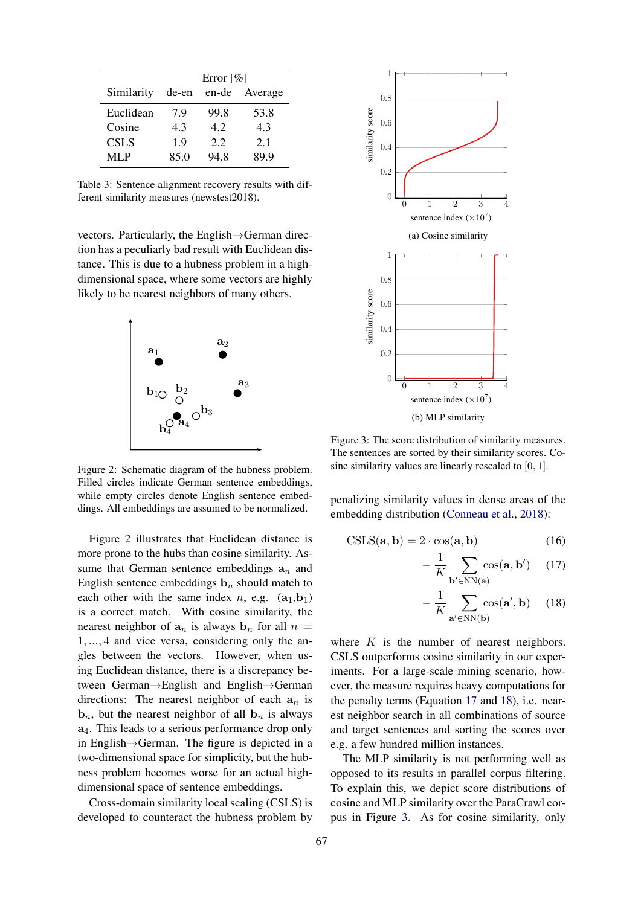<span id="page-6-0"></span>

|             | Error $\lceil\% \rceil$ |       |         |
|-------------|-------------------------|-------|---------|
| Similarity  | de-en                   | en-de | Average |
| Euclidean   | 79                      | 99.8  | 53.8    |
| Cosine      | 43                      | 42    | 4.3     |
| <b>CSLS</b> | 1.9                     | 2.2   | 2.1     |
| MLP         | 85.0                    | 94.8  | 89.9    |

Table 3: Sentence alignment recovery results with different similarity measures (newstest2018).

vectors. Particularly, the English→German direction has a peculiarly bad result with Euclidean distance. This is due to a hubness problem in a highdimensional space, where some vectors are highly likely to be nearest neighbors of many others.

<span id="page-6-1"></span>

Figure 2: Schematic diagram of the hubness problem. Filled circles indicate German sentence embeddings, while empty circles denote English sentence embeddings. All embeddings are assumed to be normalized.

Figure [2](#page-6-1) illustrates that Euclidean distance is more prone to the hubs than cosine similarity. Assume that German sentence embeddings  $a_n$  and English sentence embeddings  $\mathbf{b}_n$  should match to each other with the same index n, e.g.  $(a_1,b_1)$ is a correct match. With cosine similarity, the nearest neighbor of  $a_n$  is always  $b_n$  for all  $n =$ 1, ..., 4 and vice versa, considering only the angles between the vectors. However, when using Euclidean distance, there is a discrepancy between German→English and English→German directions: The nearest neighbor of each  $a_n$  is **, but the nearest neighbor of all**  $**b**<sub>n</sub>$  **is always** a4. This leads to a serious performance drop only in English→German. The figure is depicted in a two-dimensional space for simplicity, but the hubness problem becomes worse for an actual highdimensional space of sentence embeddings.

Cross-domain similarity local scaling (CSLS) is developed to counteract the hubness problem by

<span id="page-6-4"></span>

Figure 3: The score distribution of similarity measures. The sentences are sorted by their similarity scores. Cosine similarity values are linearly rescaled to [0, 1].

penalizing similarity values in dense areas of the embedding distribution [\(Conneau et al.,](#page-9-17) [2018\)](#page-9-17):

$$
CSLS(\mathbf{a}, \mathbf{b}) = 2 \cdot \cos(\mathbf{a}, \mathbf{b}) \tag{16}
$$

<span id="page-6-2"></span>
$$
-\frac{1}{K} \sum_{\mathbf{b}' \in \text{NN}(\mathbf{a})} \cos(\mathbf{a}, \mathbf{b}') \quad (17)
$$

<span id="page-6-3"></span>
$$
-\frac{1}{K} \sum_{\mathbf{a}' \in \text{NN}(\mathbf{b})} \cos(\mathbf{a}', \mathbf{b}) \quad (18)
$$

where  $K$  is the number of nearest neighbors. CSLS outperforms cosine similarity in our experiments. For a large-scale mining scenario, however, the measure requires heavy computations for the penalty terms (Equation [17](#page-6-2) and [18\)](#page-6-3), i.e. nearest neighbor search in all combinations of source and target sentences and sorting the scores over e.g. a few hundred million instances.

The MLP similarity is not performing well as opposed to its results in parallel corpus filtering. To explain this, we depict score distributions of cosine and MLP similarity over the ParaCrawl corpus in Figure [3.](#page-6-4) As for cosine similarity, only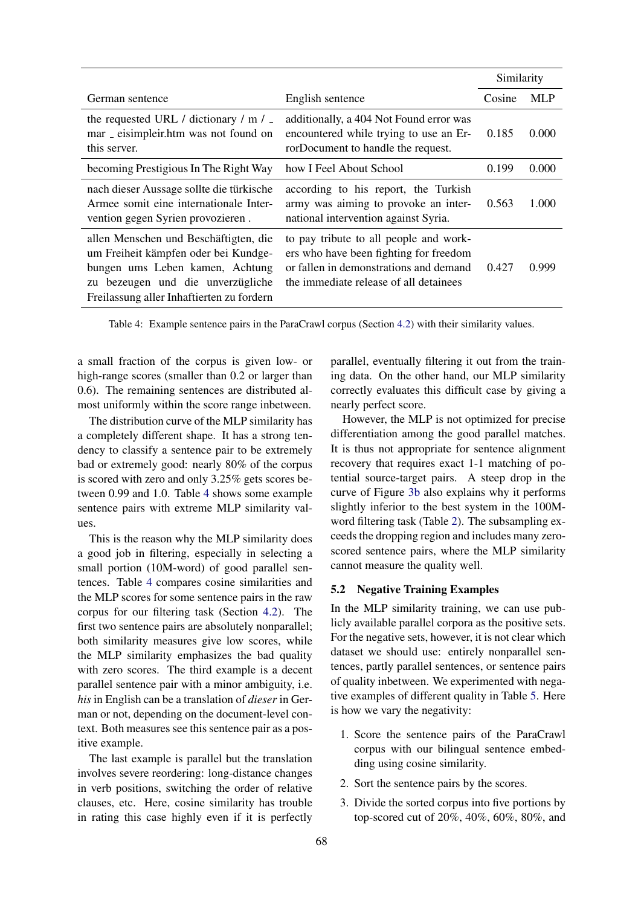<span id="page-7-0"></span>

|                                                                                                                                                                                                    |                                                                                                                                                                      | Similarity |            |
|----------------------------------------------------------------------------------------------------------------------------------------------------------------------------------------------------|----------------------------------------------------------------------------------------------------------------------------------------------------------------------|------------|------------|
| German sentence                                                                                                                                                                                    | English sentence                                                                                                                                                     | Cosine     | <b>MLP</b> |
| the requested URL / dictionary / $m$ / $\overline{\phantom{a}}$<br>mar _ eisimpleir.htm was not found on<br>this server.                                                                           | additionally, a 404 Not Found error was<br>encountered while trying to use an Er-<br>rorDocument to handle the request.                                              | 0.185      | 0.000      |
| becoming Prestigious In The Right Way                                                                                                                                                              | how I Feel About School                                                                                                                                              | 0.199      | 0.000      |
| nach dieser Aussage sollte die türkische<br>Armee somit eine internationale Inter-<br>vention gegen Syrien provozieren.                                                                            | according to his report, the Turkish<br>army was aiming to provoke an inter-<br>national intervention against Syria.                                                 | 0.563      | 1.000      |
| allen Menschen und Beschäftigten, die<br>um Freiheit kämpfen oder bei Kundge-<br>bungen ums Leben kamen, Achtung<br>zu bezeugen und die unverzügliche<br>Freilassung aller Inhaftierten zu fordern | to pay tribute to all people and work-<br>ers who have been fighting for freedom<br>or fallen in demonstrations and demand<br>the immediate release of all detainees | 0.427      | 0.999      |

Table 4: Example sentence pairs in the ParaCrawl corpus (Section [4.2\)](#page-5-0) with their similarity values.

a small fraction of the corpus is given low- or high-range scores (smaller than 0.2 or larger than 0.6). The remaining sentences are distributed almost uniformly within the score range inbetween.

The distribution curve of the MLP similarity has a completely different shape. It has a strong tendency to classify a sentence pair to be extremely bad or extremely good: nearly 80% of the corpus is scored with zero and only 3.25% gets scores between 0.99 and 1.0. Table [4](#page-7-0) shows some example sentence pairs with extreme MLP similarity values.

This is the reason why the MLP similarity does a good job in filtering, especially in selecting a small portion (10M-word) of good parallel sentences. Table [4](#page-7-0) compares cosine similarities and the MLP scores for some sentence pairs in the raw corpus for our filtering task (Section [4.2\)](#page-5-0). The first two sentence pairs are absolutely nonparallel; both similarity measures give low scores, while the MLP similarity emphasizes the bad quality with zero scores. The third example is a decent parallel sentence pair with a minor ambiguity, i.e. *his* in English can be a translation of *dieser* in German or not, depending on the document-level context. Both measures see this sentence pair as a positive example.

The last example is parallel but the translation involves severe reordering: long-distance changes in verb positions, switching the order of relative clauses, etc. Here, cosine similarity has trouble in rating this case highly even if it is perfectly

parallel, eventually filtering it out from the training data. On the other hand, our MLP similarity correctly evaluates this difficult case by giving a nearly perfect score.

However, the MLP is not optimized for precise differentiation among the good parallel matches. It is thus not appropriate for sentence alignment recovery that requires exact 1-1 matching of potential source-target pairs. A steep drop in the curve of Figure [3b](#page-6-4) also explains why it performs slightly inferior to the best system in the 100Mword filtering task (Table [2\)](#page-5-2). The subsampling exceeds the dropping region and includes many zeroscored sentence pairs, where the MLP similarity cannot measure the quality well.

### 5.2 Negative Training Examples

In the MLP similarity training, we can use publicly available parallel corpora as the positive sets. For the negative sets, however, it is not clear which dataset we should use: entirely nonparallel sentences, partly parallel sentences, or sentence pairs of quality inbetween. We experimented with negative examples of different quality in Table [5.](#page-8-0) Here is how we vary the negativity:

- 1. Score the sentence pairs of the ParaCrawl corpus with our bilingual sentence embedding using cosine similarity.
- 2. Sort the sentence pairs by the scores.
- 3. Divide the sorted corpus into five portions by top-scored cut of 20%, 40%, 60%, 80%, and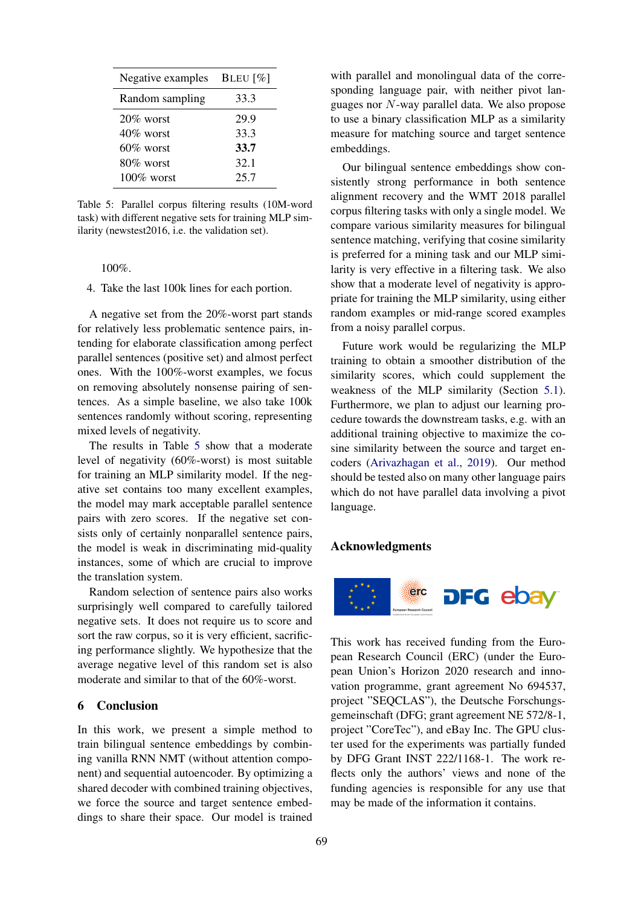<span id="page-8-0"></span>

| Negative examples | BLEU $[\%]$ |
|-------------------|-------------|
| Random sampling   | 33.3        |
| $20\%$ worst      | 29.9        |
| $40\%$ worst      | 33.3        |
| $60\%$ worst      | 33.7        |
| $80\%$ worst      | 32.1        |
| $100\%$ worst     | 25.7        |

Table 5: Parallel corpus filtering results (10M-word task) with different negative sets for training MLP similarity (newstest2016, i.e. the validation set).

100%.

4. Take the last 100k lines for each portion.

A negative set from the 20%-worst part stands for relatively less problematic sentence pairs, intending for elaborate classification among perfect parallel sentences (positive set) and almost perfect ones. With the 100%-worst examples, we focus on removing absolutely nonsense pairing of sentences. As a simple baseline, we also take 100k sentences randomly without scoring, representing mixed levels of negativity.

The results in Table [5](#page-8-0) show that a moderate level of negativity (60%-worst) is most suitable for training an MLP similarity model. If the negative set contains too many excellent examples, the model may mark acceptable parallel sentence pairs with zero scores. If the negative set consists only of certainly nonparallel sentence pairs, the model is weak in discriminating mid-quality instances, some of which are crucial to improve the translation system.

Random selection of sentence pairs also works surprisingly well compared to carefully tailored negative sets. It does not require us to score and sort the raw corpus, so it is very efficient, sacrificing performance slightly. We hypothesize that the average negative level of this random set is also moderate and similar to that of the 60%-worst.

# 6 Conclusion

In this work, we present a simple method to train bilingual sentence embeddings by combining vanilla RNN NMT (without attention component) and sequential autoencoder. By optimizing a shared decoder with combined training objectives, we force the source and target sentence embeddings to share their space. Our model is trained

with parallel and monolingual data of the corresponding language pair, with neither pivot languages nor N-way parallel data. We also propose to use a binary classification MLP as a similarity measure for matching source and target sentence embeddings.

Our bilingual sentence embeddings show consistently strong performance in both sentence alignment recovery and the WMT 2018 parallel corpus filtering tasks with only a single model. We compare various similarity measures for bilingual sentence matching, verifying that cosine similarity is preferred for a mining task and our MLP similarity is very effective in a filtering task. We also show that a moderate level of negativity is appropriate for training the MLP similarity, using either random examples or mid-range scored examples from a noisy parallel corpus.

Future work would be regularizing the MLP training to obtain a smoother distribution of the similarity scores, which could supplement the weakness of the MLP similarity (Section [5.1\)](#page-5-1). Furthermore, we plan to adjust our learning procedure towards the downstream tasks, e.g. with an additional training objective to maximize the cosine similarity between the source and target encoders [\(Arivazhagan et al.,](#page-9-22) [2019\)](#page-9-22). Our method should be tested also on many other language pairs which do not have parallel data involving a pivot language.

### Acknowledgments



This work has received funding from the European Research Council (ERC) (under the European Union's Horizon 2020 research and innovation programme, grant agreement No 694537, project "SEQCLAS"), the Deutsche Forschungsgemeinschaft (DFG; grant agreement NE 572/8-1, project "CoreTec"), and eBay Inc. The GPU cluster used for the experiments was partially funded by DFG Grant INST 222/1168-1. The work reflects only the authors' views and none of the funding agencies is responsible for any use that may be made of the information it contains.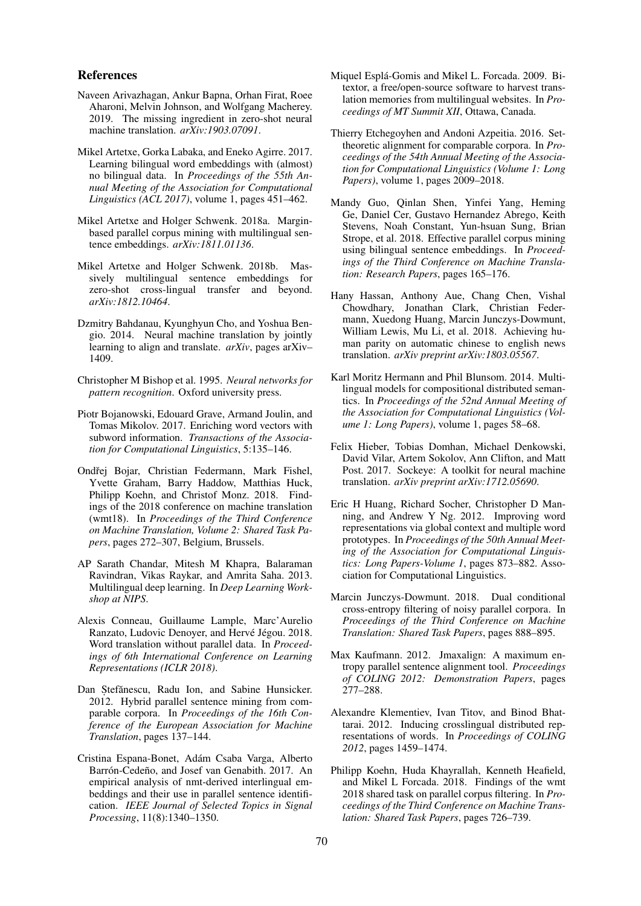#### References

- <span id="page-9-22"></span>Naveen Arivazhagan, Ankur Bapna, Orhan Firat, Roee Aharoni, Melvin Johnson, and Wolfgang Macherey. 2019. The missing ingredient in zero-shot neural machine translation. *arXiv:1903.07091*.
- <span id="page-9-18"></span>Mikel Artetxe, Gorka Labaka, and Eneko Agirre. 2017. Learning bilingual word embeddings with (almost) no bilingual data. In *Proceedings of the 55th Annual Meeting of the Association for Computational Linguistics (ACL 2017)*, volume 1, pages 451–462.
- <span id="page-9-15"></span>Mikel Artetxe and Holger Schwenk. 2018a. Marginbased parallel corpus mining with multilingual sentence embeddings. *arXiv:1811.01136*.
- <span id="page-9-12"></span>Mikel Artetxe and Holger Schwenk. 2018b. Massively multilingual sentence embeddings for zero-shot cross-lingual transfer and beyond. *arXiv:1812.10464*.
- <span id="page-9-16"></span>Dzmitry Bahdanau, Kyunghyun Cho, and Yoshua Bengio. 2014. Neural machine translation by jointly learning to align and translate. *arXiv*, pages arXiv– 1409.
- <span id="page-9-19"></span>Christopher M Bishop et al. 1995. *Neural networks for pattern recognition*. Oxford university press.
- <span id="page-9-20"></span>Piotr Bojanowski, Edouard Grave, Armand Joulin, and Tomas Mikolov. 2017. Enriching word vectors with subword information. *Transactions of the Association for Computational Linguistics*, 5:135–146.
- <span id="page-9-0"></span>Ondřej Bojar, Christian Federmann, Mark Fishel, Yvette Graham, Barry Haddow, Matthias Huck, Philipp Koehn, and Christof Monz. 2018. Findings of the 2018 conference on machine translation (wmt18). In *Proceedings of the Third Conference on Machine Translation, Volume 2: Shared Task Papers*, pages 272–307, Belgium, Brussels.
- <span id="page-9-11"></span>AP Sarath Chandar, Mitesh M Khapra, Balaraman Ravindran, Vikas Raykar, and Amrita Saha. 2013. Multilingual deep learning. In *Deep Learning Workshop at NIPS*.
- <span id="page-9-17"></span>Alexis Conneau, Guillaume Lample, Marc'Aurelio Ranzato, Ludovic Denoyer, and Hervé Jégou. 2018. Word translation without parallel data. In *Proceedings of 6th International Conference on Learning Representations (ICLR 2018)*.
- <span id="page-9-3"></span>Dan Stefănescu, Radu Ion, and Sabine Hunsicker. 2012. Hybrid parallel sentence mining from comparable corpora. In *Proceedings of the 16th Conference of the European Association for Machine Translation*, pages 137–144.
- <span id="page-9-7"></span>Cristina Espana-Bonet, Adam Csaba Varga, Alberto ´ Barrón-Cedeño, and Josef van Genabith. 2017. An empirical analysis of nmt-derived interlingual embeddings and their use in parallel sentence identification. *IEEE Journal of Selected Topics in Signal Processing*, 11(8):1340–1350.
- <span id="page-9-1"></span>Miquel Esplá-Gomis and Mikel L. Forcada. 2009. Bitextor, a free/open-source software to harvest translation memories from multilingual websites. In *Proceedings of MT Summit XII*, Ottawa, Canada.
- <span id="page-9-2"></span>Thierry Etchegoyhen and Andoni Azpeitia. 2016. Settheoretic alignment for comparable corpora. In *Proceedings of the 54th Annual Meeting of the Association for Computational Linguistics (Volume 1: Long Papers)*, volume 1, pages 2009–2018.
- <span id="page-9-8"></span>Mandy Guo, Qinlan Shen, Yinfei Yang, Heming Ge, Daniel Cer, Gustavo Hernandez Abrego, Keith Stevens, Noah Constant, Yun-hsuan Sung, Brian Strope, et al. 2018. Effective parallel corpus mining using bilingual sentence embeddings. In *Proceedings of the Third Conference on Machine Translation: Research Papers*, pages 165–176.
- <span id="page-9-13"></span>Hany Hassan, Anthony Aue, Chang Chen, Vishal Chowdhary, Jonathan Clark, Christian Federmann, Xuedong Huang, Marcin Junczys-Dowmunt, William Lewis, Mu Li, et al. 2018. Achieving human parity on automatic chinese to english news translation. *arXiv preprint arXiv:1803.05567*.
- <span id="page-9-6"></span>Karl Moritz Hermann and Phil Blunsom. 2014. Multilingual models for compositional distributed semantics. In *Proceedings of the 52nd Annual Meeting of the Association for Computational Linguistics (Volume 1: Long Papers)*, volume 1, pages 58–68.
- <span id="page-9-21"></span>Felix Hieber, Tobias Domhan, Michael Denkowski, David Vilar, Artem Sokolov, Ann Clifton, and Matt Post. 2017. Sockeye: A toolkit for neural machine translation. *arXiv preprint arXiv:1712.05690*.
- <span id="page-9-9"></span>Eric H Huang, Richard Socher, Christopher D Manning, and Andrew Y Ng. 2012. Improving word representations via global context and multiple word prototypes. In *Proceedings of the 50th Annual Meeting of the Association for Computational Linguistics: Long Papers-Volume 1*, pages 873–882. Association for Computational Linguistics.
- <span id="page-9-14"></span>Marcin Junczys-Dowmunt. 2018. Dual conditional cross-entropy filtering of noisy parallel corpora. In *Proceedings of the Third Conference on Machine Translation: Shared Task Papers*, pages 888–895.
- <span id="page-9-4"></span>Max Kaufmann. 2012. Jmaxalign: A maximum entropy parallel sentence alignment tool. *Proceedings of COLING 2012: Demonstration Papers*, pages 277–288.
- <span id="page-9-10"></span>Alexandre Klementiev, Ivan Titov, and Binod Bhattarai. 2012. Inducing crosslingual distributed representations of words. In *Proceedings of COLING 2012*, pages 1459–1474.
- <span id="page-9-5"></span>Philipp Koehn, Huda Khayrallah, Kenneth Heafield, and Mikel L Forcada. 2018. Findings of the wmt 2018 shared task on parallel corpus filtering. In *Proceedings of the Third Conference on Machine Translation: Shared Task Papers*, pages 726–739.